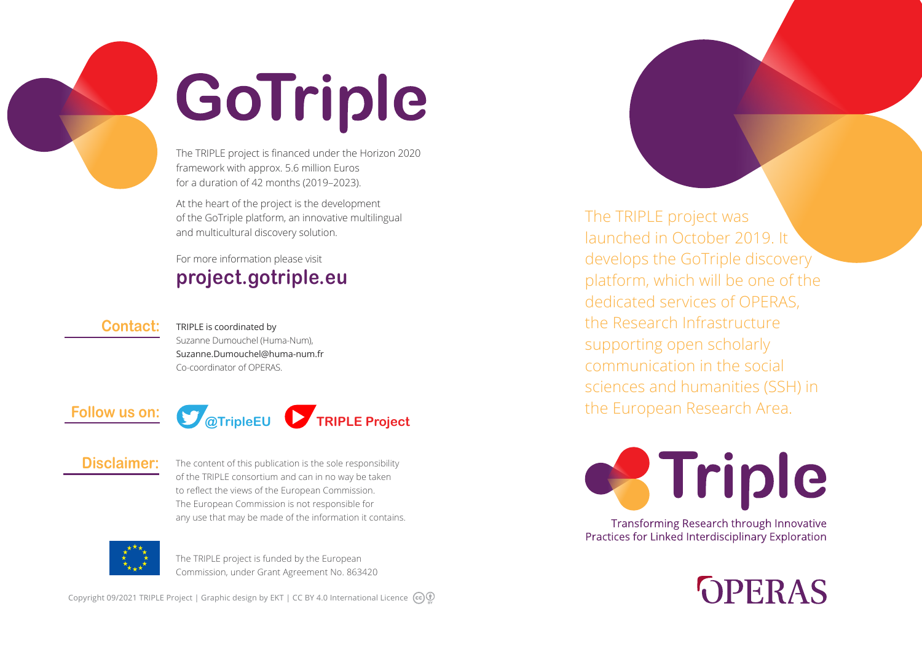

# GoTriple

The TRIPLE project is financed under the Horizon 2020 framework with approx. 5.6 million Euros for a duration of 42 months (2019–2023).

At the heart of the project is the development of the GoTriple platform, an innovative multilingual and multicultural discovery solution.

## For more information please visit **project.gotriple.eu**

#### **Contact:**

TRIPLE is coordinated by Suzanne Dumouchel (Huma-Num), Suzanne.Dumouchel@huma-num.fr Co-coordinator of OPERAS.



## **Disclaimer:**

The content of this publication is the sole responsibility of the TRIPLE consortium and can in no way be taken to reflect the views of the European Commission. The European Commission is not responsible for any use that may be made of the information it contains.



The TRIPLE project is funded by the European Commission, under Grant Agreement No. 863420

Copyright 09/2021 TRIPLE Project | Graphic design by EKT | CC BY 4.0 International Licence  $\left(\mathbf{c}\right)\mathbf{0}$ 

The TRIPLE project was launched in October 2019. It develops the GoTriple discovery platform, which will be one of the dedicated services of OPERAS, the Research Infrastructure supporting open scholarly communication in the social sciences and humanities (SSH) in the European Research Area.



Transforming Research through Innovative Practices for Linked Interdisciplinary Exploration